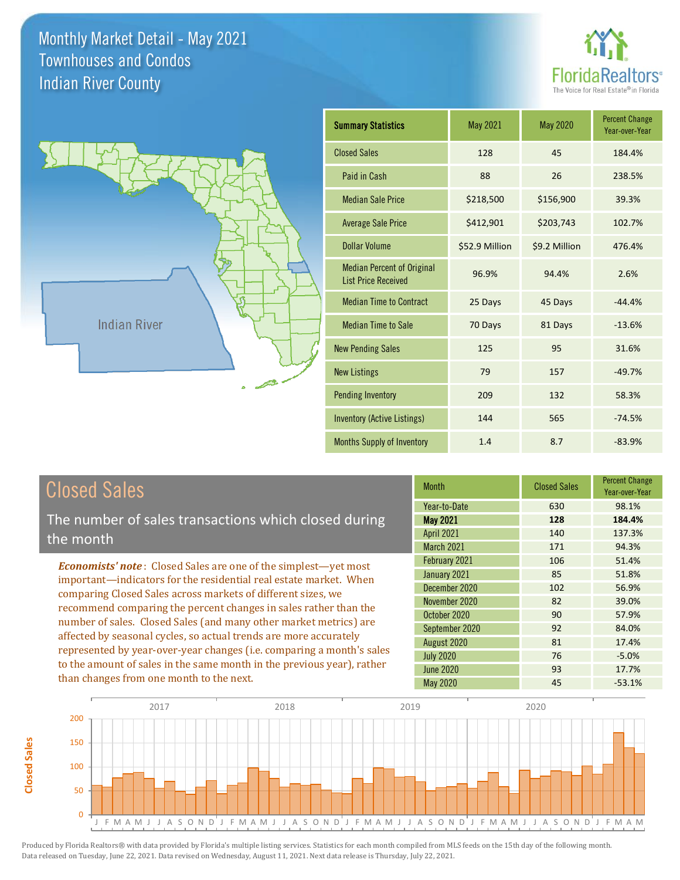



| <b>Summary Statistics</b>                                       | May 2021       | May 2020      | <b>Percent Change</b><br>Year-over-Year |
|-----------------------------------------------------------------|----------------|---------------|-----------------------------------------|
| <b>Closed Sales</b>                                             | 128            | 45            | 184.4%                                  |
| Paid in Cash                                                    | 88             | 26            | 238.5%                                  |
| <b>Median Sale Price</b>                                        | \$218,500      | \$156,900     | 39.3%                                   |
| <b>Average Sale Price</b>                                       | \$412,901      | \$203,743     | 102.7%                                  |
| Dollar Volume                                                   | \$52.9 Million | \$9.2 Million | 476.4%                                  |
| <b>Median Percent of Original</b><br><b>List Price Received</b> | 96.9%          | 94.4%         | 2.6%                                    |
| <b>Median Time to Contract</b>                                  | 25 Days        | 45 Days       | $-44.4%$                                |
| <b>Median Time to Sale</b>                                      | 70 Days        | 81 Days       | $-13.6%$                                |
| <b>New Pending Sales</b>                                        | 125            | 95            | 31.6%                                   |
| <b>New Listings</b>                                             | 79             | 157           | $-49.7%$                                |
| <b>Pending Inventory</b>                                        | 209            | 132           | 58.3%                                   |
| <b>Inventory (Active Listings)</b>                              | 144            | 565           | $-74.5%$                                |
| <b>Months Supply of Inventory</b>                               | 1.4            | 8.7           | $-83.9%$                                |

# Closed Sales

**Closed Sales**

**Closed Sales** 

The number of sales transactions which closed during the month

*Economists' note* : Closed Sales are one of the simplest—yet most important—indicators for the residential real estate market. When comparing Closed Sales across markets of different sizes, we recommend comparing the percent changes in sales rather than the number of sales. Closed Sales (and many other market metrics) are affected by seasonal cycles, so actual trends are more accurately represented by year-over-year changes (i.e. comparing a month's sales to the amount of sales in the same month in the previous year), rather than changes from one month to the next.

| Month             | <b>Closed Sales</b> | <b>Percent Change</b><br>Year-over-Year |
|-------------------|---------------------|-----------------------------------------|
| Year-to-Date      | 630                 | 98.1%                                   |
| <b>May 2021</b>   | 128                 | 184.4%                                  |
| <b>April 2021</b> | 140                 | 137.3%                                  |
| March 2021        | 171                 | 94.3%                                   |
| February 2021     | 106                 | 51.4%                                   |
| January 2021      | 85                  | 51.8%                                   |
| December 2020     | 102                 | 56.9%                                   |
| November 2020     | 82                  | 39.0%                                   |
| October 2020      | 90                  | 57.9%                                   |
| September 2020    | 92                  | 84.0%                                   |
| August 2020       | 81                  | 17.4%                                   |
| <b>July 2020</b>  | 76                  | $-5.0%$                                 |
| <b>June 2020</b>  | 93                  | 17.7%                                   |
| May 2020          | 45                  | $-53.1%$                                |

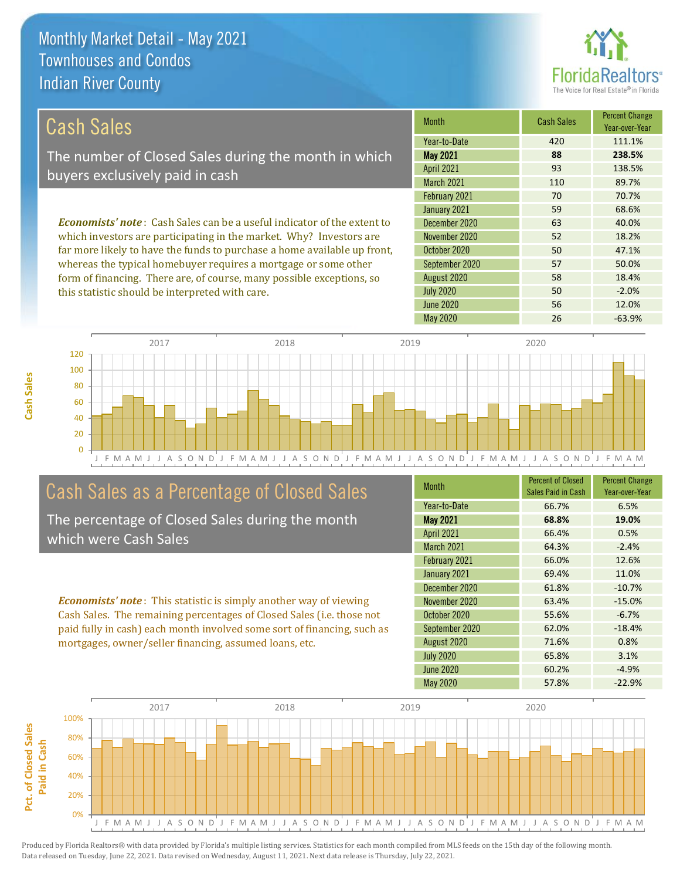

| Cash Sales                                                                     | <b>Month</b>      | <b>Cash Sales</b> | <b>Percent Change</b><br>Year-over-Year |
|--------------------------------------------------------------------------------|-------------------|-------------------|-----------------------------------------|
|                                                                                | Year-to-Date      | 420               | 111.1%                                  |
| The number of Closed Sales during the month in which                           | <b>May 2021</b>   | 88                | 238.5%                                  |
| buyers exclusively paid in cash                                                | <b>April 2021</b> | 93                | 138.5%                                  |
|                                                                                | <b>March 2021</b> | 110               | 89.7%                                   |
|                                                                                | February 2021     | 70                | 70.7%                                   |
|                                                                                | January 2021      | 59                | 68.6%                                   |
| <b>Economists' note:</b> Cash Sales can be a useful indicator of the extent to | December 2020     | 63                | 40.0%                                   |
| which investors are participating in the market. Why? Investors are            | November 2020     | 52                | 18.2%                                   |
|                                                                                |                   |                   |                                         |

far more likely to have the funds to purchase a home available up front, whereas the typical homebuyer requires a mortgage or some other form of financing. There are, of course, many possible exceptions, so this statistic should be interpreted with care.

|                   |     | rear-over-rear |
|-------------------|-----|----------------|
| Year-to-Date      | 420 | 111.1%         |
| <b>May 2021</b>   | 88  | 238.5%         |
| <b>April 2021</b> | 93  | 138.5%         |
| March 2021        | 110 | 89.7%          |
| February 2021     | 70  | 70.7%          |
| January 2021      | 59  | 68.6%          |
| December 2020     | 63  | 40.0%          |
| November 2020     | 52  | 18.2%          |
| October 2020      | 50  | 47.1%          |
| September 2020    | 57  | 50.0%          |
| August 2020       | 58  | 18.4%          |
| <b>July 2020</b>  | 50  | $-2.0%$        |
| <b>June 2020</b>  | 56  | 12.0%          |
| <b>May 2020</b>   | 26  | $-63.9%$       |



# Cash Sales as a Percentage of Closed Sales

The percentage of Closed Sales during the month which were Cash Sales

*Economists' note* : This statistic is simply another way of viewing Cash Sales. The remaining percentages of Closed Sales (i.e. those not paid fully in cash) each month involved some sort of financing, such as mortgages, owner/seller financing, assumed loans, etc.

| <b>Month</b>      | <b>Percent of Closed</b><br>Sales Paid in Cash | <b>Percent Change</b><br>Year-over-Year |
|-------------------|------------------------------------------------|-----------------------------------------|
| Year-to-Date      | 66.7%                                          | 6.5%                                    |
| <b>May 2021</b>   | 68.8%                                          | 19.0%                                   |
| <b>April 2021</b> | 66.4%                                          | 0.5%                                    |
| March 2021        | 64.3%                                          | $-2.4%$                                 |
| February 2021     | 66.0%                                          | 12.6%                                   |
| January 2021      | 69.4%                                          | 11.0%                                   |
| December 2020     | 61.8%                                          | $-10.7%$                                |
| November 2020     | 63.4%                                          | $-15.0%$                                |
| October 2020      | 55.6%                                          | $-6.7%$                                 |
| September 2020    | 62.0%                                          | $-18.4%$                                |
| August 2020       | 71.6%                                          | 0.8%                                    |
| <b>July 2020</b>  | 65.8%                                          | 3.1%                                    |
| <b>June 2020</b>  | 60.2%                                          | $-4.9%$                                 |
| <b>May 2020</b>   | 57.8%                                          | $-22.9%$                                |



**Cash Sales**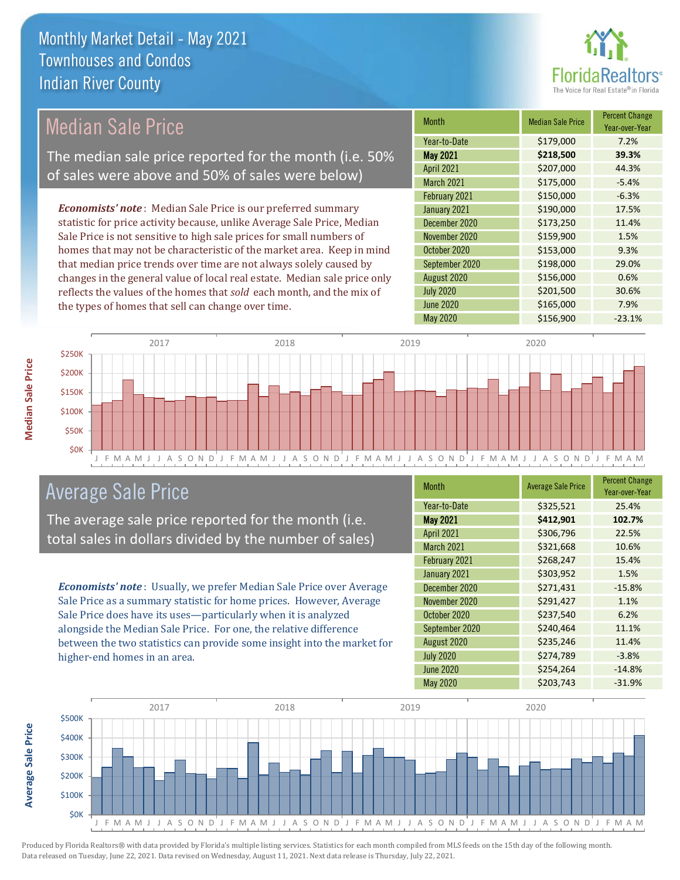

# Median Sale Price

The median sale price reported for the month (i.e. 50% of sales were above and 50% of sales were below)

*Economists' note* : Median Sale Price is our preferred summary statistic for price activity because, unlike Average Sale Price, Median Sale Price is not sensitive to high sale prices for small numbers of homes that may not be characteristic of the market area. Keep in mind that median price trends over time are not always solely caused by changes in the general value of local real estate. Median sale price only reflects the values of the homes that *sold* each month, and the mix of the types of homes that sell can change over time.

| Month             | <b>Median Sale Price</b> | <b>Percent Change</b><br>Year-over-Year |
|-------------------|--------------------------|-----------------------------------------|
| Year-to-Date      | \$179,000                | 7.2%                                    |
| <b>May 2021</b>   | \$218,500                | 39.3%                                   |
| <b>April 2021</b> | \$207,000                | 44.3%                                   |
| March 2021        | \$175,000                | $-5.4%$                                 |
| February 2021     | \$150,000                | $-6.3%$                                 |
| January 2021      | \$190,000                | 17.5%                                   |
| December 2020     | \$173,250                | 11.4%                                   |
| November 2020     | \$159,900                | 1.5%                                    |
| October 2020      | \$153,000                | 9.3%                                    |
| September 2020    | \$198,000                | 29.0%                                   |
| August 2020       | \$156,000                | 0.6%                                    |
| <b>July 2020</b>  | \$201,500                | 30.6%                                   |
| <b>June 2020</b>  | \$165,000                | 7.9%                                    |
| <b>May 2020</b>   | \$156,900                | $-23.1%$                                |



### Average Sale Price

The average sale price reported for the month (i.e. total sales in dollars divided by the number of sales)

*Economists' note* : Usually, we prefer Median Sale Price over Average Sale Price as a summary statistic for home prices. However, Average Sale Price does have its uses—particularly when it is analyzed alongside the Median Sale Price. For one, the relative difference between the two statistics can provide some insight into the market for higher-end homes in an area.

| Month             | <b>Average Sale Price</b> | <b>Percent Change</b><br>Year-over-Year |
|-------------------|---------------------------|-----------------------------------------|
| Year-to-Date      | \$325,521                 | 25.4%                                   |
| <b>May 2021</b>   | \$412,901                 | 102.7%                                  |
| <b>April 2021</b> | \$306,796                 | 22.5%                                   |
| <b>March 2021</b> | \$321,668                 | 10.6%                                   |
| February 2021     | \$268,247                 | 15.4%                                   |
| January 2021      | \$303,952                 | 1.5%                                    |
| December 2020     | \$271,431                 | $-15.8%$                                |
| November 2020     | \$291,427                 | 1.1%                                    |
| October 2020      | \$237,540                 | 6.2%                                    |
| September 2020    | \$240,464                 | 11.1%                                   |
| August 2020       | \$235,246                 | 11.4%                                   |
| <b>July 2020</b>  | \$274,789                 | $-3.8%$                                 |
| <b>June 2020</b>  | \$254,264                 | $-14.8%$                                |
| May 2020          | \$203,743                 | $-31.9%$                                |



Produced by Florida Realtors® with data provided by Florida's multiple listing services. Statistics for each month compiled from MLS feeds on the 15th day of the following month. Data released on Tuesday, June 22, 2021. Data revised on Wednesday, August 11, 2021. Next data release is Thursday, July 22, 2021.

**Average Sale Price**

**Average Sale Price**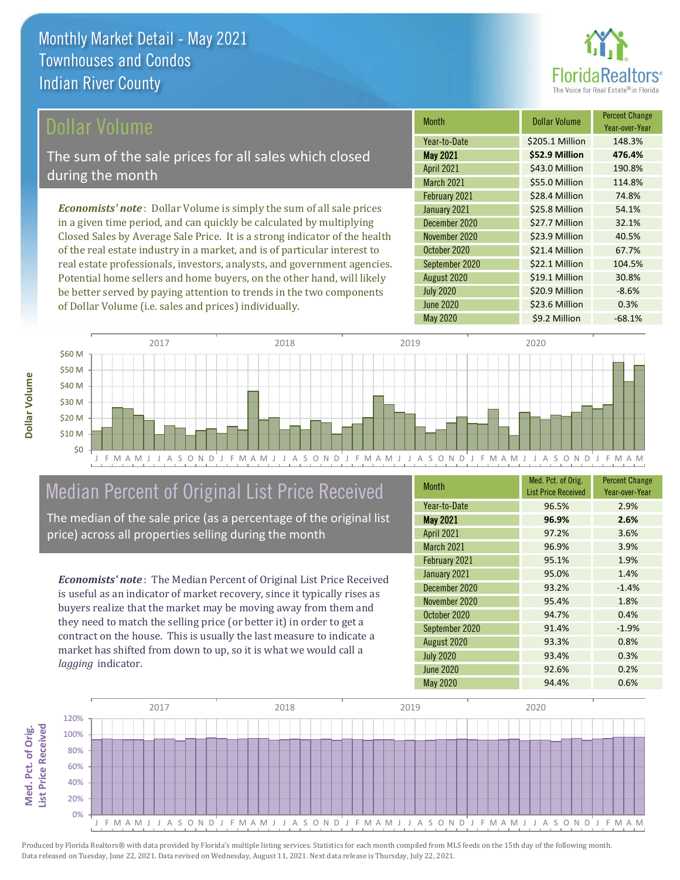

### ollar Volume

The sum of the sale prices for all sales which closed during the month

*Economists' note* : Dollar Volume is simply the sum of all sale prices in a given time period, and can quickly be calculated by multiplying Closed Sales by Average Sale Price. It is a strong indicator of the health of the real estate industry in a market, and is of particular interest to real estate professionals, investors, analysts, and government agencies. Potential home sellers and home buyers, on the other hand, will likely be better served by paying attention to trends in the two components of Dollar Volume (i.e. sales and prices) individually.

| <b>Month</b>      | <b>Dollar Volume</b> | <b>Percent Change</b><br>Year-over-Year |
|-------------------|----------------------|-----------------------------------------|
| Year-to-Date      | \$205.1 Million      | 148.3%                                  |
| <b>May 2021</b>   | \$52.9 Million       | 476.4%                                  |
| <b>April 2021</b> | \$43.0 Million       | 190.8%                                  |
| March 2021        | \$55.0 Million       | 114.8%                                  |
| February 2021     | \$28.4 Million       | 74.8%                                   |
| January 2021      | \$25.8 Million       | 54.1%                                   |
| December 2020     | \$27.7 Million       | 32.1%                                   |
| November 2020     | \$23.9 Million       | 40.5%                                   |
| October 2020      | \$21.4 Million       | 67.7%                                   |
| September 2020    | \$22.1 Million       | 104.5%                                  |
| August 2020       | \$19.1 Million       | 30.8%                                   |
| <b>July 2020</b>  | \$20.9 Million       | $-8.6%$                                 |
| <b>June 2020</b>  | \$23.6 Million       | 0.3%                                    |
| <b>May 2020</b>   | \$9.2 Million        | $-68.1%$                                |



# Median Percent of Original List Price Received

The median of the sale price (as a percentage of the original list price) across all properties selling during the month

*Economists' note* : The Median Percent of Original List Price Received is useful as an indicator of market recovery, since it typically rises as buyers realize that the market may be moving away from them and they need to match the selling price (or better it) in order to get a contract on the house. This is usually the last measure to indicate a market has shifted from down to up, so it is what we would call a *lagging* indicator.

| Month             | Med. Pct. of Orig.<br><b>List Price Received</b> | <b>Percent Change</b><br>Year-over-Year |
|-------------------|--------------------------------------------------|-----------------------------------------|
| Year-to-Date      | 96.5%                                            | 2.9%                                    |
| <b>May 2021</b>   | 96.9%                                            | 2.6%                                    |
| <b>April 2021</b> | 97.2%                                            | 3.6%                                    |
| March 2021        | 96.9%                                            | 3.9%                                    |
| February 2021     | 95.1%                                            | 1.9%                                    |
| January 2021      | 95.0%                                            | 1.4%                                    |
| December 2020     | 93.2%                                            | $-1.4%$                                 |
| November 2020     | 95.4%                                            | 1.8%                                    |
| October 2020      | 94.7%                                            | 0.4%                                    |
| September 2020    | 91.4%                                            | $-1.9%$                                 |
| August 2020       | 93.3%                                            | 0.8%                                    |
| <b>July 2020</b>  | 93.4%                                            | 0.3%                                    |
| <b>June 2020</b>  | 92.6%                                            | 0.2%                                    |
| <b>May 2020</b>   | 94.4%                                            | 0.6%                                    |

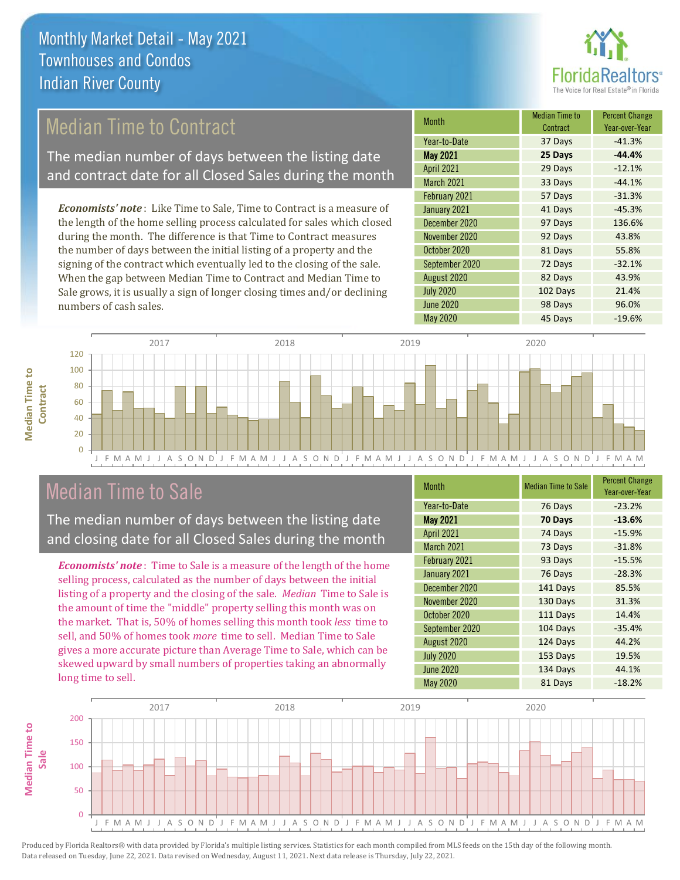

# Median Time to Contract

The median number of days between the listing date and contract date for all Closed Sales during the month

*Economists' note* : Like Time to Sale, Time to Contract is a measure of the length of the home selling process calculated for sales which closed during the month. The difference is that Time to Contract measures the number of days between the initial listing of a property and the signing of the contract which eventually led to the closing of the sale. When the gap between Median Time to Contract and Median Time to Sale grows, it is usually a sign of longer closing times and/or declining numbers of cash sales.

| <b>Month</b>      | <b>Median Time to</b><br>Contract | <b>Percent Change</b><br>Year-over-Year |
|-------------------|-----------------------------------|-----------------------------------------|
| Year-to-Date      | 37 Days                           | $-41.3%$                                |
| <b>May 2021</b>   | 25 Days                           | $-44.4%$                                |
| <b>April 2021</b> | 29 Days                           | $-12.1%$                                |
| March 2021        | 33 Days                           | $-44.1%$                                |
| February 2021     | 57 Days                           | $-31.3%$                                |
| January 2021      | 41 Days                           | $-45.3%$                                |
| December 2020     | 97 Days                           | 136.6%                                  |
| November 2020     | 92 Days                           | 43.8%                                   |
| October 2020      | 81 Days                           | 55.8%                                   |
| September 2020    | 72 Days                           | $-32.1%$                                |
| August 2020       | 82 Days                           | 43.9%                                   |
| <b>July 2020</b>  | 102 Days                          | 21.4%                                   |
| <b>June 2020</b>  | 98 Days                           | 96.0%                                   |
| <b>May 2020</b>   | 45 Days                           | $-19.6%$                                |



### Median Time to Sale

**Median Time to Contract**

**Median Time to** 

The median number of days between the listing date and closing date for all Closed Sales during the month

*Economists' note* : Time to Sale is a measure of the length of the home selling process, calculated as the number of days between the initial listing of a property and the closing of the sale. *Median* Time to Sale is the amount of time the "middle" property selling this month was on the market. That is, 50% of homes selling this month took *less* time to sell, and 50% of homes took *more* time to sell. Median Time to Sale gives a more accurate picture than Average Time to Sale, which can be skewed upward by small numbers of properties taking an abnormally long time to sell.

| <b>Month</b>      | <b>Median Time to Sale</b> | <b>Percent Change</b><br>Year-over-Year |
|-------------------|----------------------------|-----------------------------------------|
| Year-to-Date      | 76 Days                    | $-23.2%$                                |
| <b>May 2021</b>   | 70 Days                    | $-13.6%$                                |
| <b>April 2021</b> | 74 Days                    | $-15.9%$                                |
| <b>March 2021</b> | 73 Days                    | $-31.8%$                                |
| February 2021     | 93 Days                    | $-15.5%$                                |
| January 2021      | 76 Days                    | $-28.3%$                                |
| December 2020     | 141 Days                   | 85.5%                                   |
| November 2020     | 130 Days                   | 31.3%                                   |
| October 2020      | 111 Days                   | 14.4%                                   |
| September 2020    | 104 Days                   | $-35.4%$                                |
| August 2020       | 124 Days                   | 44.2%                                   |
| <b>July 2020</b>  | 153 Days                   | 19.5%                                   |
| <b>June 2020</b>  | 134 Days                   | 44.1%                                   |
| May 2020          | 81 Days                    | $-18.2%$                                |

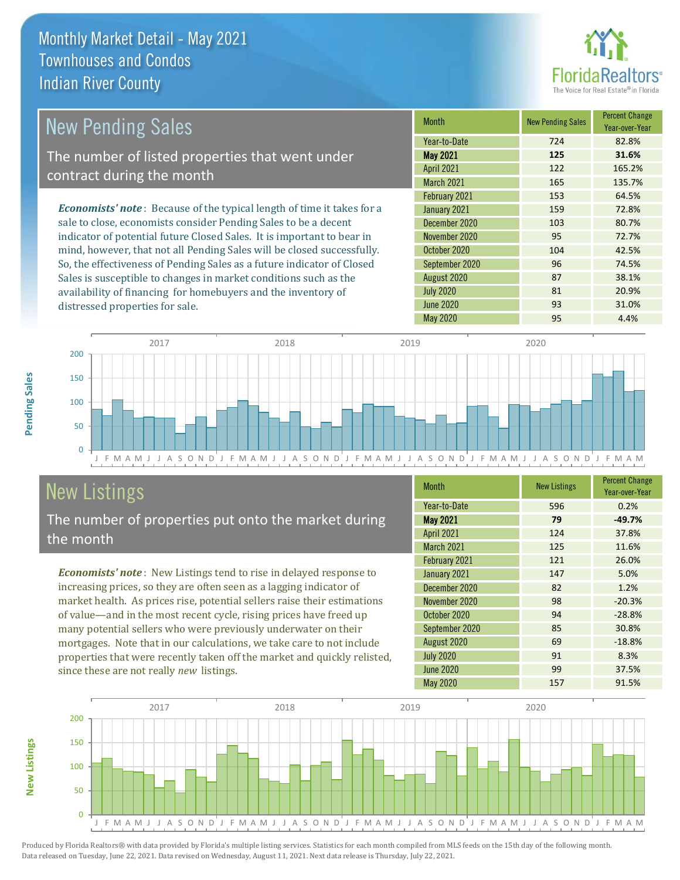distressed properties for sale.



#### *Economists' note* : Because of the typical length of time it takes for a sale to close, economists consider Pending Sales to be a decent indicator of potential future Closed Sales. It is important to bear in mind, however, that not all Pending Sales will be closed successfully. So, the effectiveness of Pending Sales as a future indicator of Closed Month New Pending Sales Percent Change Year-over-Year May 2021 **125 31.6%** Year-to-Date 724 82.8% October 2020 104 104 42.5% April 2021 122 165.2% March 2021 165 135.7% December 2020 103 103 80.7% November 2020 95 72.7% February 2021 153 64.5% January 2021 159 72.8% September 2020 96 74.5% New Pending Sales The number of listed properties that went under contract during the month

F M A M J J A S O N D<sup>'</sup>J F M A M J J A S O N D<sup>'</sup>J F M A M J J A S O N D<sup>'</sup>J F M A M J J A S O N D<sup>'</sup>J F M A M  $\Omega$ 50 100 150 200 2017 2018 2019 2020

# New Listings

The number of properties put onto the market during the month

Sales is susceptible to changes in market conditions such as the availability of financing for homebuyers and the inventory of

*Economists' note* : New Listings tend to rise in delayed response to increasing prices, so they are often seen as a lagging indicator of market health. As prices rise, potential sellers raise their estimations of value—and in the most recent cycle, rising prices have freed up many potential sellers who were previously underwater on their mortgages. Note that in our calculations, we take care to not include properties that were recently taken off the market and quickly relisted, since these are not really *new* listings.

| <b>Month</b>      | <b>New Listings</b> | <b>Percent Change</b><br>Year-over-Year |
|-------------------|---------------------|-----------------------------------------|
| Year-to-Date      | 596                 | 0.2%                                    |
| <b>May 2021</b>   | 79                  | $-49.7%$                                |
| <b>April 2021</b> | 124                 | 37.8%                                   |
| March 2021        | 125                 | 11.6%                                   |
| February 2021     | 121                 | 26.0%                                   |
| January 2021      | 147                 | 5.0%                                    |
| December 2020     | 82                  | 1.2%                                    |
| November 2020     | 98                  | $-20.3%$                                |
| October 2020      | 94                  | $-28.8%$                                |
| September 2020    | 85                  | 30.8%                                   |
| August 2020       | 69                  | $-18.8%$                                |
| <b>July 2020</b>  | 91                  | 8.3%                                    |
| June 2020         | 99                  | 37.5%                                   |
| May 2020          | 157                 | 91.5%                                   |

August 2020 **87** 38.1% July 2020 81 20.9% June 2020 31.0% May 2020 95 4.4%



Produced by Florida Realtors® with data provided by Florida's multiple listing services. Statistics for each month compiled from MLS feeds on the 15th day of the following month. Data released on Tuesday, June 22, 2021. Data revised on Wednesday, August 11, 2021. Next data release is Thursday, July 22, 2021.

**New Listings**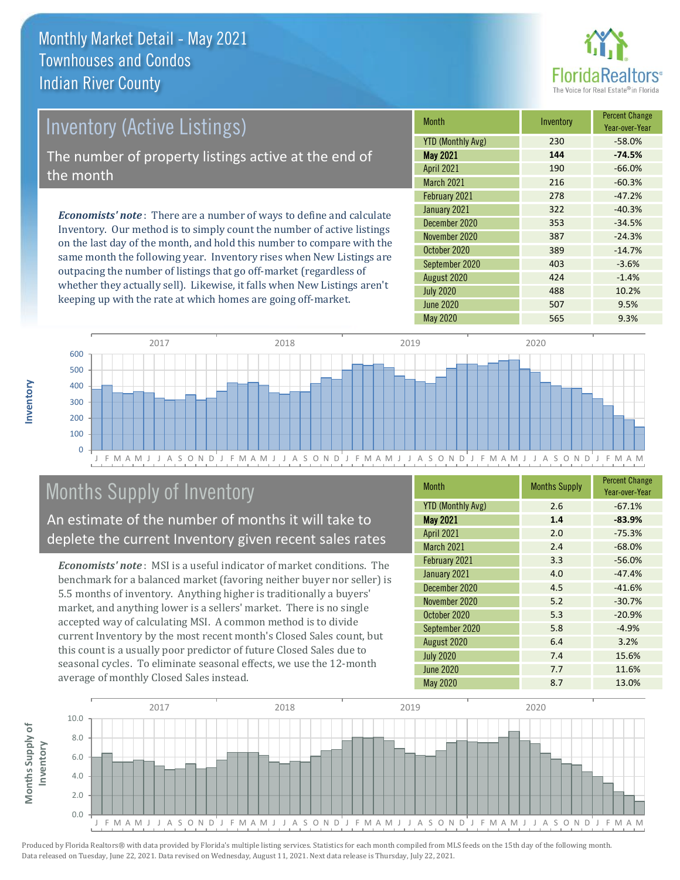

# Inventory (Active Listings)

The number of property listings active at the end of the month

*Economists' note* : There are a number of ways to define and calculate Inventory. Our method is to simply count the number of active listings on the last day of the month, and hold this number to compare with the same month the following year. Inventory rises when New Listings are outpacing the number of listings that go off-market (regardless of whether they actually sell). Likewise, it falls when New Listings aren't keeping up with the rate at which homes are going off-market.

| <b>Month</b>             | Inventory | <b>Percent Change</b><br>Year-over-Year |
|--------------------------|-----------|-----------------------------------------|
| <b>YTD (Monthly Avg)</b> | 230       | $-58.0%$                                |
| <b>May 2021</b>          | 144       | $-74.5%$                                |
| <b>April 2021</b>        | 190       | $-66.0%$                                |
| March 2021               | 216       | $-60.3%$                                |
| February 2021            | 278       | $-47.2%$                                |
| January 2021             | 322       | $-40.3%$                                |
| December 2020            | 353       | $-34.5%$                                |
| November 2020            | 387       | $-24.3%$                                |
| October 2020             | 389       | $-14.7%$                                |
| September 2020           | 403       | $-3.6%$                                 |
| August 2020              | 424       | $-1.4%$                                 |
| <b>July 2020</b>         | 488       | 10.2%                                   |
| <b>June 2020</b>         | 507       | 9.5%                                    |
| <b>May 2020</b>          | 565       | 9.3%                                    |



# Months Supply of Inventory

An estimate of the number of months it will take to deplete the current Inventory given recent sales rates

*Economists' note* : MSI is a useful indicator of market conditions. The benchmark for a balanced market (favoring neither buyer nor seller) is 5.5 months of inventory. Anything higher is traditionally a buyers' market, and anything lower is a sellers' market. There is no single accepted way of calculating MSI. A common method is to divide current Inventory by the most recent month's Closed Sales count, but this count is a usually poor predictor of future Closed Sales due to seasonal cycles. To eliminate seasonal effects, we use the 12-month average of monthly Closed Sales instead.

| Month                    | <b>Months Supply</b> | <b>Percent Change</b><br>Year-over-Year |
|--------------------------|----------------------|-----------------------------------------|
| <b>YTD (Monthly Avg)</b> | 2.6                  | $-67.1%$                                |
| <b>May 2021</b>          | 1.4                  | $-83.9%$                                |
| April 2021               | 2.0                  | $-75.3%$                                |
| March 2021               | 2.4                  | $-68.0%$                                |
| February 2021            | 3.3                  | $-56.0%$                                |
| January 2021             | 4.0                  | $-47.4%$                                |
| December 2020            | 4.5                  | $-41.6%$                                |
| November 2020            | 5.2                  | $-30.7%$                                |
| October 2020             | 5.3                  | $-20.9%$                                |
| September 2020           | 5.8                  | $-4.9%$                                 |
| August 2020              | 6.4                  | 3.2%                                    |
| <b>July 2020</b>         | 7.4                  | 15.6%                                   |
| <b>June 2020</b>         | 7.7                  | 11.6%                                   |
| <b>May 2020</b>          | 8.7                  | 13.0%                                   |

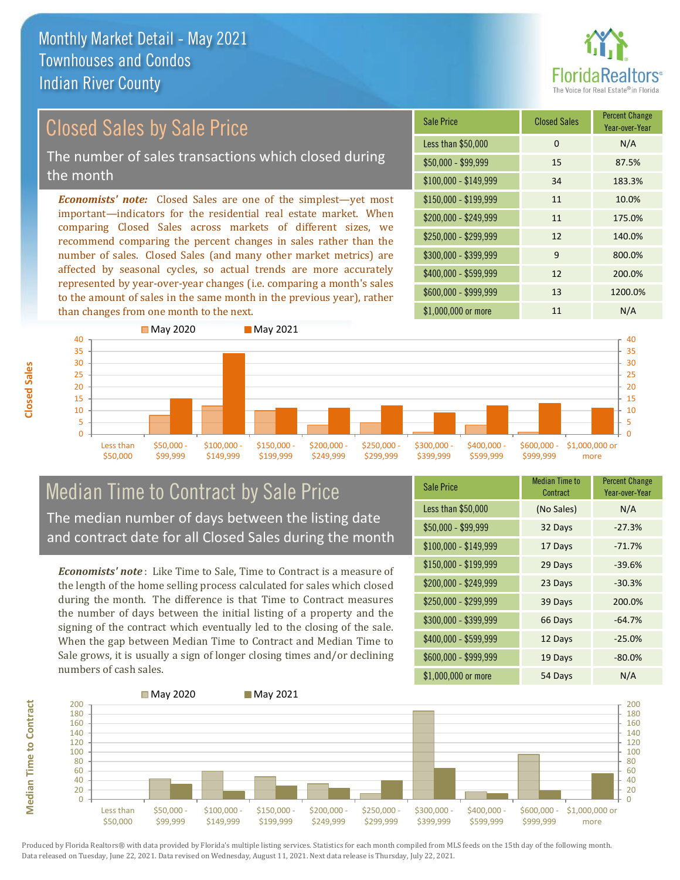

# Closed Sales by Sale Price

The number of sales transactions which closed during the month

*Economists' note:* Closed Sales are one of the simplest—yet most important—indicators for the residential real estate market. When comparing Closed Sales across markets of different sizes, we recommend comparing the percent changes in sales rather than the number of sales. Closed Sales (and many other market metrics) are affected by seasonal cycles, so actual trends are more accurately represented by year-over-year changes (i.e. comparing a month's sales to the amount of sales in the same month in the previous year), rather than changes from one month to the next.





### Median Time to Contract by Sale Price The median number of days between the listing date and contract date for all Closed Sales during the month

*Economists' note* : Like Time to Sale, Time to Contract is a measure of the length of the home selling process calculated for sales which closed during the month. The difference is that Time to Contract measures the number of days between the initial listing of a property and the signing of the contract which eventually led to the closing of the sale. When the gap between Median Time to Contract and Median Time to Sale grows, it is usually a sign of longer closing times and/or declining numbers of cash sales.

| <b>Sale Price</b>     | Median Time to<br>Contract | <b>Percent Change</b><br>Year-over-Year |
|-----------------------|----------------------------|-----------------------------------------|
| Less than \$50,000    | (No Sales)                 | N/A                                     |
| $$50,000 - $99,999$   | 32 Days                    | $-27.3%$                                |
| $$100,000 - $149,999$ | 17 Days                    | $-71.7%$                                |
| $$150,000 - $199,999$ | 29 Days                    | $-39.6%$                                |
| \$200,000 - \$249,999 | 23 Days                    | $-30.3%$                                |
| \$250,000 - \$299,999 | 39 Days                    | 200.0%                                  |
| \$300,000 - \$399,999 | 66 Days                    | $-64.7%$                                |
| \$400,000 - \$599,999 | 12 Days                    | $-25.0%$                                |
| \$600,000 - \$999,999 | 19 Days                    | $-80.0%$                                |
| \$1,000,000 or more   | 54 Days                    | N/A                                     |

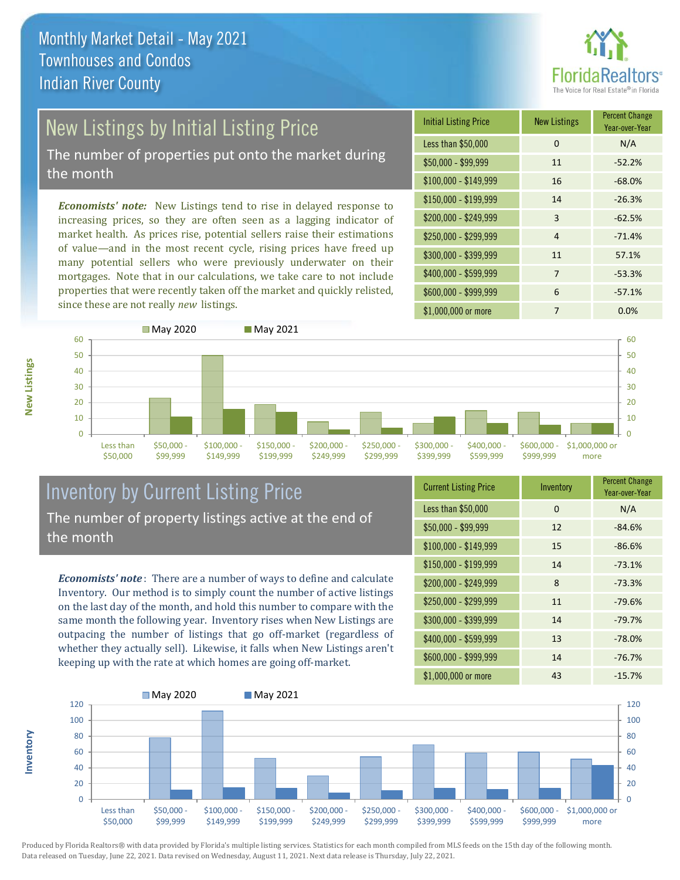

# New Listings by Initial Listing Price

The number of properties put onto the market during the month

*Economists' note:* New Listings tend to rise in delayed response to increasing prices, so they are often seen as a lagging indicator of market health. As prices rise, potential sellers raise their estimations of value—and in the most recent cycle, rising prices have freed up many potential sellers who were previously underwater on their mortgages. Note that in our calculations, we take care to not include properties that were recently taken off the market and quickly relisted, since these are not really *new* listings.





### Inventory by Current Listing Price The number of property listings active at the end of the month

*Economists' note* : There are a number of ways to define and calculate Inventory. Our method is to simply count the number of active listings on the last day of the month, and hold this number to compare with the same month the following year. Inventory rises when New Listings are outpacing the number of listings that go off-market (regardless of whether they actually sell). Likewise, it falls when New Listings aren't keeping up with the rate at which homes are going off-market.

| <b>Current Listing Price</b> | Inventory | <b>Percent Change</b><br>Year-over-Year |
|------------------------------|-----------|-----------------------------------------|
| Less than \$50,000           | $\Omega$  | N/A                                     |
| $$50,000 - $99,999$          | 12        | $-84.6%$                                |
| $$100,000 - $149,999$        | 15        | $-86.6%$                                |
| $$150,000 - $199,999$        | 14        | $-73.1%$                                |
| \$200,000 - \$249,999        | 8         | $-73.3%$                                |
| \$250,000 - \$299,999        | 11        | $-79.6%$                                |
| \$300,000 - \$399,999        | 14        | $-79.7%$                                |
| \$400,000 - \$599,999        | 13        | $-78.0%$                                |
| \$600,000 - \$999,999        | 14        | $-76.7%$                                |
| \$1,000,000 or more          | 43        | $-15.7%$                                |



Produced by Florida Realtors® with data provided by Florida's multiple listing services. Statistics for each month compiled from MLS feeds on the 15th day of the following month. Data released on Tuesday, June 22, 2021. Data revised on Wednesday, August 11, 2021. Next data release is Thursday, July 22, 2021.

**Inventory**